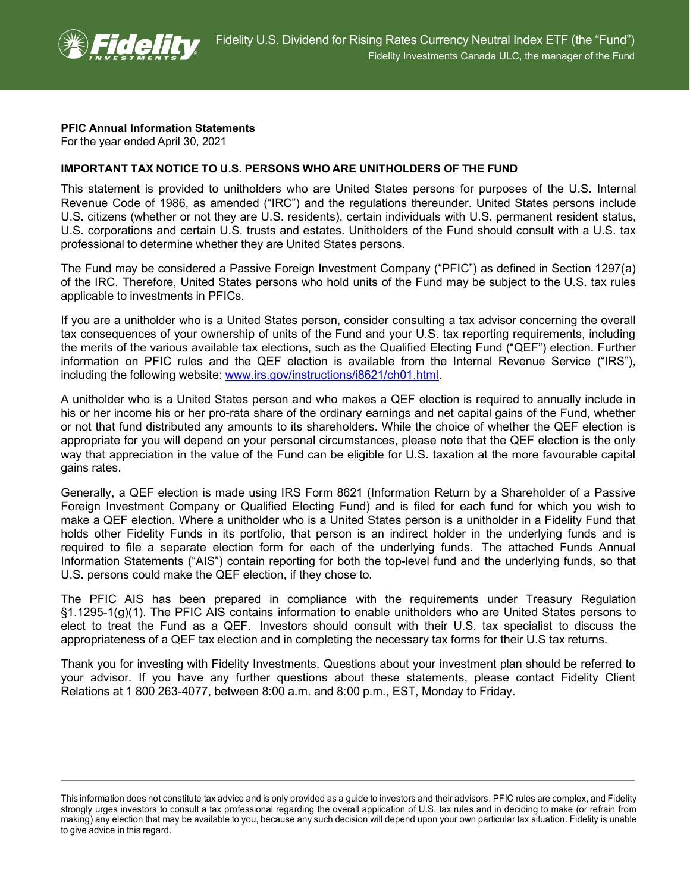

## **PFIC Annual Information Statements**

For the year ended April 30, 2021

## **IMPORTANT TAX NOTICE TO U.S. PERSONS WHO ARE UNITHOLDERS OF THE FUND**

This statement is provided to unitholders who are United States persons for purposes of the U.S. Internal Revenue Code of 1986, as amended ("IRC") and the regulations thereunder. United States persons include U.S. citizens (whether or not they are U.S. residents), certain individuals with U.S. permanent resident status, U.S. corporations and certain U.S. trusts and estates. Unitholders of the Fund should consult with a U.S. tax professional to determine whether they are United States persons.

The Fund may be considered a Passive Foreign Investment Company ("PFIC") as defined in Section 1297(a) of the IRC. Therefore, United States persons who hold units of the Fund may be subject to the U.S. tax rules applicable to investments in PFICs.

If you are a unitholder who is a United States person, consider consulting a tax advisor concerning the overall tax consequences of your ownership of units of the Fund and your U.S. tax reporting requirements, including the merits of the various available tax elections, such as the Qualified Electing Fund ("QEF") election. Further information on PFIC rules and the QEF election is available from the Internal Revenue Service ("IRS"), including the following website: [www.irs.gov/instructions/i8621/ch01.html.](http://www.irs.gov/instructions/i8621/ch01.html)

A unitholder who is a United States person and who makes a QEF election is required to annually include in his or her income his or her pro-rata share of the ordinary earnings and net capital gains of the Fund, whether or not that fund distributed any amounts to its shareholders. While the choice of whether the QEF election is appropriate for you will depend on your personal circumstances, please note that the QEF election is the only way that appreciation in the value of the Fund can be eligible for U.S. taxation at the more favourable capital gains rates.

Generally, a QEF election is made using IRS Form 8621 (Information Return by a Shareholder of a Passive Foreign Investment Company or Qualified Electing Fund) and is filed for each fund for which you wish to make a QEF election. Where a unitholder who is a United States person is a unitholder in a Fidelity Fund that holds other Fidelity Funds in its portfolio, that person is an indirect holder in the underlying funds and is required to file a separate election form for each of the underlying funds. The attached Funds Annual Information Statements ("AIS") contain reporting for both the top-level fund and the underlying funds, so that U.S. persons could make the QEF election, if they chose to.

The PFIC AIS has been prepared in compliance with the requirements under Treasury Regulation §1.1295-1(g)(1). The PFIC AIS contains information to enable unitholders who are United States persons to elect to treat the Fund as a QEF. Investors should consult with their U.S. tax specialist to discuss the appropriateness of a QEF tax election and in completing the necessary tax forms for their U.S tax returns.

Thank you for investing with Fidelity Investments. Questions about your investment plan should be referred to your advisor. If you have any further questions about these statements, please contact Fidelity Client Relations at 1 800 263-4077, between 8:00 a.m. and 8:00 p.m., EST, Monday to Friday.

This information does not constitute tax advice and is only provided as a guide to investors and their advisors. PFIC rules are complex, and Fidelity strongly urges investors to consult a tax professional regarding the overall application of U.S. tax rules and in deciding to make (or refrain from making) any election that may be available to you, because any such decision will depend upon your own particular tax situation. Fidelity is unable to give advice in this regard.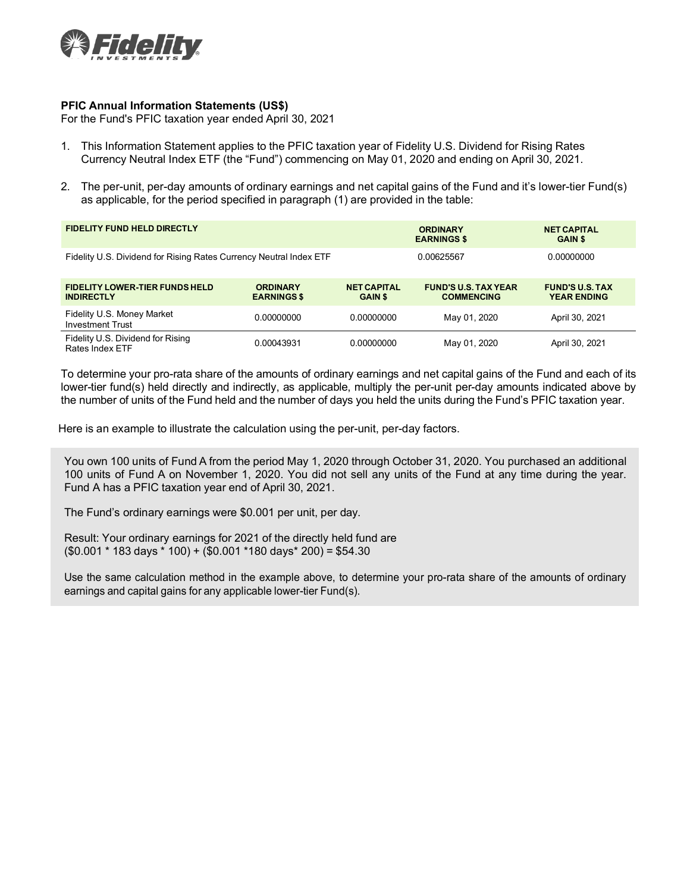

## **PFIC Annual Information Statements (US\$)**

For the Fund's PFIC taxation year ended April 30, 2021

- 1. This Information Statement applies to the PFIC taxation year of Fidelity U.S. Dividend for Rising Rates Currency Neutral Index ETF (the "Fund") commencing on May 01, 2020 and ending on April 30, 2021.
- 2. The per-unit, per-day amounts of ordinary earnings and net capital gains of the Fund and it's lower-tier Fund(s) as applicable, for the period specified in paragraph (1) are provided in the table:

| <b>FIDELITY FUND HELD DIRECTLY</b>                                 |                                       |                                      | <b>ORDINARY</b><br><b>EARNINGS \$</b>            | <b>NET CAPITAL</b><br><b>GAIN \$</b>         |
|--------------------------------------------------------------------|---------------------------------------|--------------------------------------|--------------------------------------------------|----------------------------------------------|
| Fidelity U.S. Dividend for Rising Rates Currency Neutral Index ETF |                                       |                                      | 0.00625567                                       | 0.00000000                                   |
| <b>FIDELITY LOWER-TIER FUNDS HELD</b><br><b>INDIRECTLY</b>         | <b>ORDINARY</b><br><b>EARNINGS \$</b> | <b>NET CAPITAL</b><br><b>GAIN \$</b> | <b>FUND'S U.S. TAX YEAR</b><br><b>COMMENCING</b> | <b>FUND'S U.S. TAX</b><br><b>YEAR ENDING</b> |
| Fidelity U.S. Money Market<br><b>Investment Trust</b>              | 0.00000000                            | 0.00000000                           | May 01, 2020                                     | April 30, 2021                               |
| Fidelity U.S. Dividend for Rising<br>Rates Index ETF               | 0.00043931                            | 0.00000000                           | May 01, 2020                                     | April 30, 2021                               |

To determine your pro-rata share of the amounts of ordinary earnings and net capital gains of the Fund and each of its lower-tier fund(s) held directly and indirectly, as applicable, multiply the per-unit per-day amounts indicated above by the number of units of the Fund held and the number of days you held the units during the Fund's PFIC taxation year.

Here is an example to illustrate the calculation using the per-unit, per-day factors.

You own 100 units of Fund A from the period May 1, 2020 through October 31, 2020. You purchased an additional 100 units of Fund A on November 1, 2020. You did not sell any units of the Fund at any time during the year. Fund A has a PFIC taxation year end of April 30, 2021.

The Fund's ordinary earnings were \$0.001 per unit, per day.

Result: Your ordinary earnings for 2021 of the directly held fund are  $($0.001 * 183 \text{ days} * 100) + ($0.001 * 180 \text{ days} * 200) = $54.30$ 

Use the same calculation method in the example above, to determine your pro-rata share of the amounts of ordinary earnings and capital gains for any applicable lower-tier Fund(s).